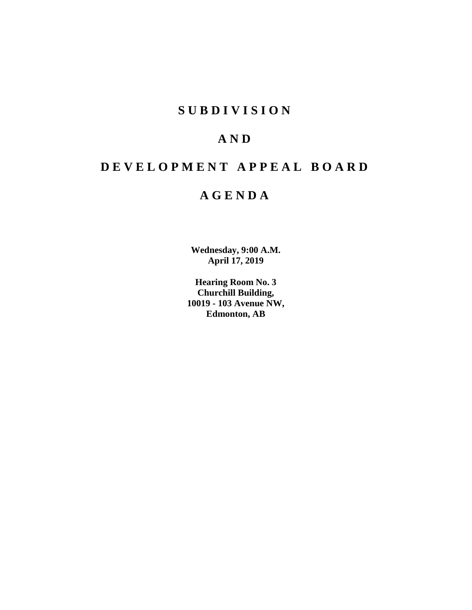# **S U B D I V I S I O N**

# **A N D**

# **D E V E L O P M E N T A P P E A L B O A R D**

# **A G E N D A**

**Wednesday, 9:00 A.M. April 17, 2019**

**Hearing Room No. 3 Churchill Building, 10019 - 103 Avenue NW, Edmonton, AB**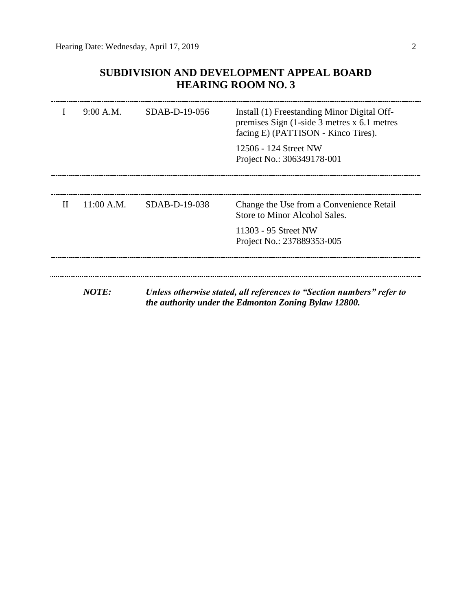### **SUBDIVISION AND DEVELOPMENT APPEAL BOARD HEARING ROOM NO. 3**

|             | 9:00 A.M.    | $SDAB-D-19-056$ | Install (1) Freestanding Minor Digital Off-<br>premises Sign $(1\text{-side }3 \text{ metres } x 6.1 \text{ metres})$<br>facing E) (PATTISON - Kinco Tires). |
|-------------|--------------|-----------------|--------------------------------------------------------------------------------------------------------------------------------------------------------------|
|             |              |                 | 12506 - 124 Street NW<br>Project No.: 306349178-001                                                                                                          |
|             |              |                 |                                                                                                                                                              |
| $_{\rm II}$ | 11:00 A.M.   | SDAB-D-19-038   | Change the Use from a Convenience Retail<br>Store to Minor Alcohol Sales.                                                                                    |
|             |              |                 | 11303 - 95 Street NW<br>Project No.: 237889353-005                                                                                                           |
|             |              |                 |                                                                                                                                                              |
|             | <b>NOTE:</b> |                 | Unless otherwise stated, all references to "Section numbers" refer to<br>the authority under the Edmonton Zoning Bylaw 12800.                                |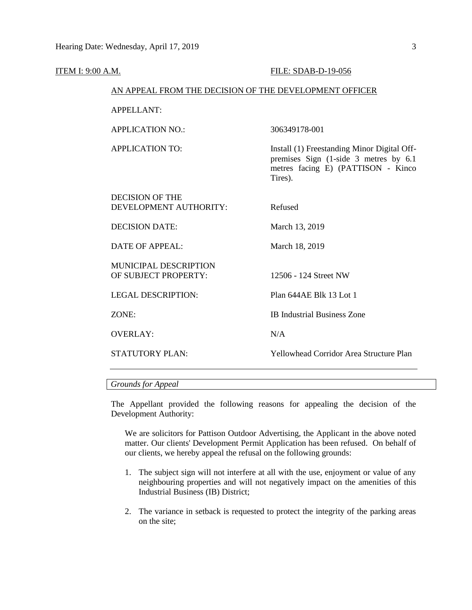| ITEM I: 9:00 A.M. |                                                        | FILE: SDAB-D-19-056                                                                                                                    |
|-------------------|--------------------------------------------------------|----------------------------------------------------------------------------------------------------------------------------------------|
|                   | AN APPEAL FROM THE DECISION OF THE DEVELOPMENT OFFICER |                                                                                                                                        |
|                   | <b>APPELLANT:</b>                                      |                                                                                                                                        |
|                   | <b>APPLICATION NO.:</b>                                | 306349178-001                                                                                                                          |
|                   | <b>APPLICATION TO:</b>                                 | Install (1) Freestanding Minor Digital Off-<br>premises Sign (1-side 3 metres by 6.1)<br>metres facing E) (PATTISON - Kinco<br>Tires). |
|                   | <b>DECISION OF THE</b><br>DEVELOPMENT AUTHORITY:       | Refused                                                                                                                                |
|                   | <b>DECISION DATE:</b>                                  | March 13, 2019                                                                                                                         |
|                   | <b>DATE OF APPEAL:</b>                                 | March 18, 2019                                                                                                                         |
|                   | MUNICIPAL DESCRIPTION<br>OF SUBJECT PROPERTY:          | 12506 - 124 Street NW                                                                                                                  |
|                   | <b>LEGAL DESCRIPTION:</b>                              | Plan 644AE Blk 13 Lot 1                                                                                                                |
|                   | ZONE:                                                  | <b>IB</b> Industrial Business Zone                                                                                                     |
|                   | <b>OVERLAY:</b>                                        | N/A                                                                                                                                    |
|                   | <b>STATUTORY PLAN:</b>                                 | <b>Yellowhead Corridor Area Structure Plan</b>                                                                                         |
|                   |                                                        |                                                                                                                                        |

#### *Grounds for Appeal*

The Appellant provided the following reasons for appealing the decision of the Development Authority:

We are solicitors for Pattison Outdoor Advertising, the Applicant in the above noted matter. Our clients' Development Permit Application has been refused. On behalf of our clients, we hereby appeal the refusal on the following grounds:

- 1. The subject sign will not interfere at all with the use, enjoyment or value of any neighbouring properties and will not negatively impact on the amenities of this Industrial Business (IB) District;
- 2. The variance in setback is requested to protect the integrity of the parking areas on the site;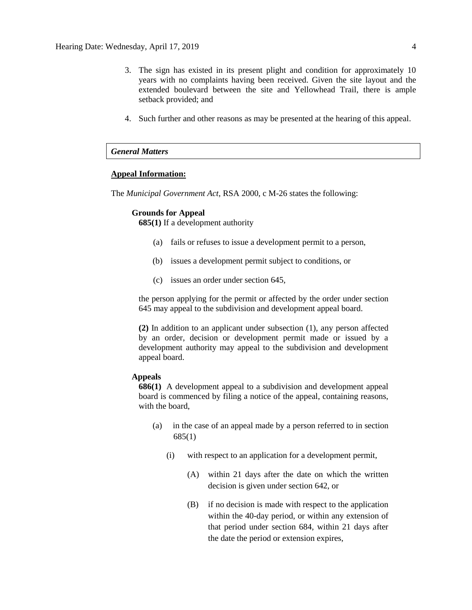- 3. The sign has existed in its present plight and condition for approximately 10 years with no complaints having been received. Given the site layout and the extended boulevard between the site and Yellowhead Trail, there is ample setback provided; and
- 4. Such further and other reasons as may be presented at the hearing of this appeal.

#### *General Matters*

#### **Appeal Information:**

The *Municipal Government Act*, RSA 2000, c M-26 states the following:

#### **Grounds for Appeal**

**685(1)** If a development authority

- (a) fails or refuses to issue a development permit to a person,
- (b) issues a development permit subject to conditions, or
- (c) issues an order under section 645,

the person applying for the permit or affected by the order under section 645 may appeal to the subdivision and development appeal board.

**(2)** In addition to an applicant under subsection (1), any person affected by an order, decision or development permit made or issued by a development authority may appeal to the subdivision and development appeal board.

#### **Appeals**

**686(1)** A development appeal to a subdivision and development appeal board is commenced by filing a notice of the appeal, containing reasons, with the board,

- (a) in the case of an appeal made by a person referred to in section 685(1)
	- (i) with respect to an application for a development permit,
		- (A) within 21 days after the date on which the written decision is given under section 642, or
		- (B) if no decision is made with respect to the application within the 40-day period, or within any extension of that period under section 684, within 21 days after the date the period or extension expires,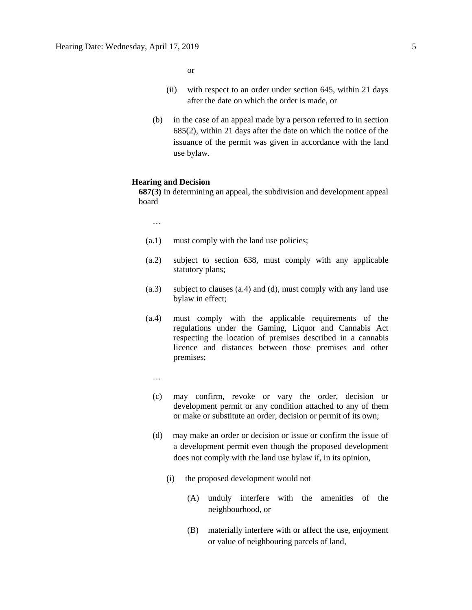or

- (ii) with respect to an order under section 645, within 21 days after the date on which the order is made, or
- (b) in the case of an appeal made by a person referred to in section 685(2), within 21 days after the date on which the notice of the issuance of the permit was given in accordance with the land use bylaw.

#### **Hearing and Decision**

**687(3)** In determining an appeal, the subdivision and development appeal board

…

- (a.1) must comply with the land use policies;
- (a.2) subject to section 638, must comply with any applicable statutory plans;
- (a.3) subject to clauses (a.4) and (d), must comply with any land use bylaw in effect;
- (a.4) must comply with the applicable requirements of the regulations under the Gaming, Liquor and Cannabis Act respecting the location of premises described in a cannabis licence and distances between those premises and other premises;
	- …
	- (c) may confirm, revoke or vary the order, decision or development permit or any condition attached to any of them or make or substitute an order, decision or permit of its own;
	- (d) may make an order or decision or issue or confirm the issue of a development permit even though the proposed development does not comply with the land use bylaw if, in its opinion,
		- (i) the proposed development would not
			- (A) unduly interfere with the amenities of the neighbourhood, or
			- (B) materially interfere with or affect the use, enjoyment or value of neighbouring parcels of land,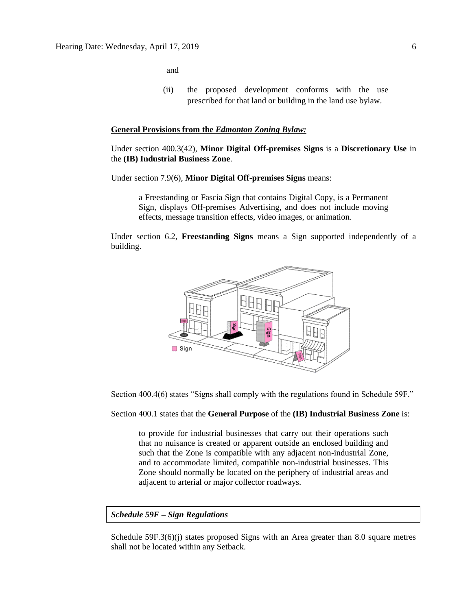and

(ii) the proposed development conforms with the use prescribed for that land or building in the land use bylaw.

#### **General Provisions from the** *Edmonton Zoning Bylaw:*

Under section 400.3(42), **Minor Digital Off-premises Signs** is a **Discretionary Use** in the **(IB) Industrial Business Zone**.

Under section 7.9(6), **Minor Digital Off-premises Signs** means:

a Freestanding or Fascia Sign that contains Digital Copy, is a Permanent Sign, displays Off-premises Advertising, and does not include moving effects, message transition effects, video images, or animation.

Under section 6.2, **Freestanding Signs** means a Sign supported independently of a building.



Section 400.4(6) states "Signs shall comply with the regulations found in Schedule 59F."

Section 400.1 states that the **General Purpose** of the **(IB) Industrial Business Zone** is:

to provide for industrial businesses that carry out their operations such that no nuisance is created or apparent outside an enclosed building and such that the Zone is compatible with any adjacent non-industrial Zone, and to accommodate limited, compatible non-industrial businesses. This Zone should normally be located on the periphery of industrial areas and adjacent to arterial or major collector roadways.

*Schedule 59F – Sign Regulations*

Schedule 59F.3(6)(j) states proposed Signs with an Area greater than 8.0 square metres shall not be located within any Setback.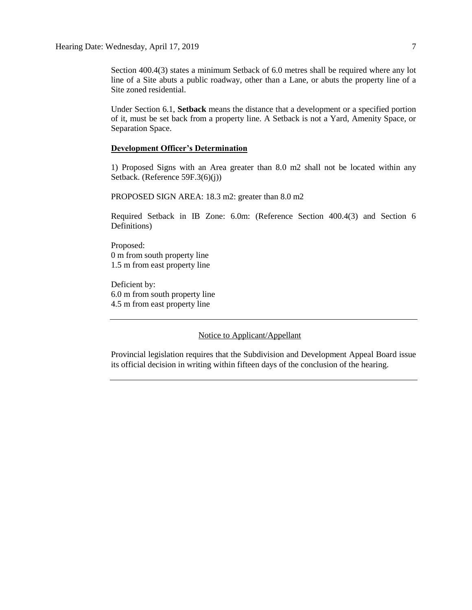Section 400.4(3) states a minimum Setback of 6.0 metres shall be required where any lot line of a Site abuts a public roadway, other than a Lane, or abuts the property line of a Site zoned residential.

Under Section 6.1, **Setback** means the distance that a development or a specified portion of it, must be set back from a property line. A Setback is not a Yard, Amenity Space, or Separation Space.

#### **Development Officer's Determination**

1) Proposed Signs with an Area greater than 8.0 m2 shall not be located within any Setback. (Reference 59F.3(6)(j))

PROPOSED SIGN AREA: 18.3 m2: greater than 8.0 m2

Required Setback in IB Zone: 6.0m: (Reference Section 400.4(3) and Section 6 Definitions)

Proposed: 0 m from south property line 1.5 m from east property line

Deficient by: 6.0 m from south property line 4.5 m from east property line

Notice to Applicant/Appellant

Provincial legislation requires that the Subdivision and Development Appeal Board issue its official decision in writing within fifteen days of the conclusion of the hearing.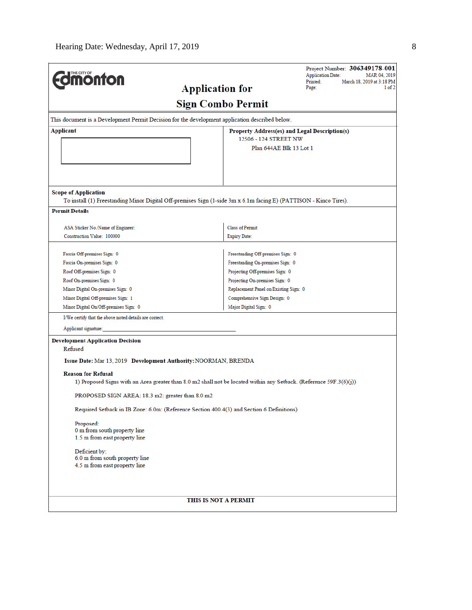| <b>monton</b>                                                                                                                                    |                          |                                               | Project Number: 306349178-001<br><b>Application Date:</b><br>MAR 04, 2019<br>Printed:<br>March 18, 2019 at 3:18 PM |
|--------------------------------------------------------------------------------------------------------------------------------------------------|--------------------------|-----------------------------------------------|--------------------------------------------------------------------------------------------------------------------|
|                                                                                                                                                  | <b>Application for</b>   |                                               | Page:<br>1 of 2                                                                                                    |
|                                                                                                                                                  | <b>Sign Combo Permit</b> |                                               |                                                                                                                    |
| This document is a Development Permit Decision for the development application described below.                                                  |                          |                                               |                                                                                                                    |
| Applicant                                                                                                                                        |                          | Property Address(es) and Legal Description(s) |                                                                                                                    |
|                                                                                                                                                  |                          | 12506 - 124 STREET NW                         |                                                                                                                    |
|                                                                                                                                                  |                          | Plan 644AE Blk 13 Lot 1                       |                                                                                                                    |
|                                                                                                                                                  |                          |                                               |                                                                                                                    |
| <b>Scope of Application</b><br>To install (1) Freestanding Minor Digital Off-premises Sign (1-side 3m x 6.1m facing E) (PATTISON - Kinco Tires). |                          |                                               |                                                                                                                    |
| <b>Permit Details</b>                                                                                                                            |                          |                                               |                                                                                                                    |
| ASA Sticker No./Name of Engineer:                                                                                                                |                          | <b>Class of Permit:</b>                       |                                                                                                                    |
| Construction Value: 100000                                                                                                                       |                          | <b>Expiry Date:</b>                           |                                                                                                                    |
|                                                                                                                                                  |                          |                                               |                                                                                                                    |
| Fascia Off-premises Sign: 0                                                                                                                      |                          | Freestanding Off-premises Sign: 0             |                                                                                                                    |
| Fascia On-premises Sign: 0                                                                                                                       |                          | Freestanding On-premises Sign: 0              |                                                                                                                    |
| Roof Off-premises Sign: 0                                                                                                                        |                          | Projecting Off-premises Sign: 0               |                                                                                                                    |
| Roof On-premises Sign: 0                                                                                                                         |                          | Projecting On-premises Sign: 0                |                                                                                                                    |
| Minor Digital On-premises Sign: 0                                                                                                                |                          | Replacement Panel on Existing Sign: 0         |                                                                                                                    |
| Minor Digital Off-premises Sign: 1                                                                                                               |                          | Comprehensive Sign Design: 0                  |                                                                                                                    |
| Minor Digital On/Off-premises Sign: 0                                                                                                            |                          | Major Digital Sign: 0                         |                                                                                                                    |
| I/We certify that the above noted details are correct.                                                                                           |                          |                                               |                                                                                                                    |
| Applicant signature:                                                                                                                             |                          |                                               |                                                                                                                    |
| <b>Development Application Decision</b>                                                                                                          |                          |                                               |                                                                                                                    |
| Refused                                                                                                                                          |                          |                                               |                                                                                                                    |
| Issue Date: Mar 13, 2019 Development Authority: NOORMAN, BRENDA                                                                                  |                          |                                               |                                                                                                                    |
| <b>Reason for Refusal</b>                                                                                                                        |                          |                                               |                                                                                                                    |
| 1) Proposed Signs with an Area greater than 8.0 m2 shall not be located within any Setback. (Reference 59F.3(6)(j))                              |                          |                                               |                                                                                                                    |
| PROPOSED SIGN AREA: 18.3 m2: greater than 8.0 m2                                                                                                 |                          |                                               |                                                                                                                    |
| Required Setback in IB Zone: 6.0m: (Reference Section 400.4(3) and Section 6 Definitions)                                                        |                          |                                               |                                                                                                                    |
| Proposed:                                                                                                                                        |                          |                                               |                                                                                                                    |
| 0 m from south property line                                                                                                                     |                          |                                               |                                                                                                                    |
| 1.5 m from east property line                                                                                                                    |                          |                                               |                                                                                                                    |
| Deficient by:                                                                                                                                    |                          |                                               |                                                                                                                    |
| 6.0 m from south property line                                                                                                                   |                          |                                               |                                                                                                                    |
| 4.5 m from east property line                                                                                                                    |                          |                                               |                                                                                                                    |
|                                                                                                                                                  |                          |                                               |                                                                                                                    |
|                                                                                                                                                  | THIS IS NOT A PERMIT     |                                               |                                                                                                                    |
|                                                                                                                                                  |                          |                                               |                                                                                                                    |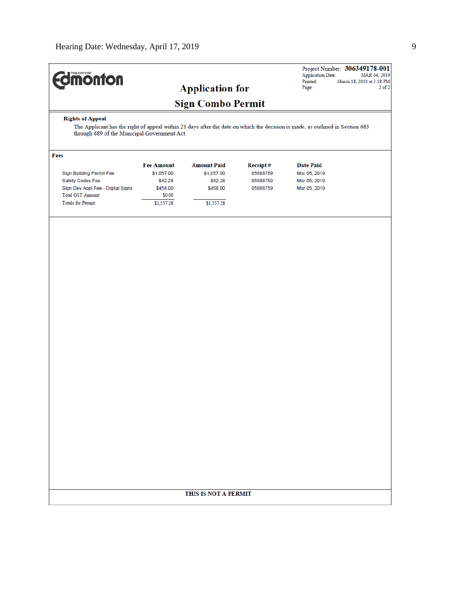| <b>Edmonton</b>         | <b>Application for</b>                                                                                                        | <b>Application Date:</b><br>Printed:<br>Page: | Project Number: 306349178-001<br>MAR 04, 2019<br>March 18, 2019 at 3:18 PM<br>$2$ of $2$ |
|-------------------------|-------------------------------------------------------------------------------------------------------------------------------|-----------------------------------------------|------------------------------------------------------------------------------------------|
|                         | <b>Sign Combo Permit</b>                                                                                                      |                                               |                                                                                          |
| <b>Rights of Appeal</b> | The Applicant has the right of appeal within 21 days after the date on which the decision is made, as outlined in Section 682 |                                               |                                                                                          |

The Applicant has the right of appeal within 21 days after the date on which the decision is made, as outlined in Section 683 through 689 of the Municipal Government Act.

| Fees                              |                   |                    |                  |                  |  |
|-----------------------------------|-------------------|--------------------|------------------|------------------|--|
|                                   | <b>Fee Amount</b> | <b>Amount Paid</b> | <b>Receipt</b> # | <b>Date Paid</b> |  |
| Sign Building Permit Fee          | \$1,057.00        | \$1,057.00         | 05688759         | Mar 05, 2019     |  |
| Safety Codes Fee                  | \$42.28           | \$42.28            | 05688759         | Mar 05, 2019     |  |
| Sign Dev Appl Fee - Digital Signs | \$458.00          | \$458.00           | 05688759         | Mar 05, 2019     |  |
| <b>Total GST Amount:</b>          | \$0.00            |                    |                  |                  |  |
| <b>Totals for Permit:</b>         | \$1,557.28        | \$1,557.28         |                  |                  |  |

#### THIS IS NOT A PERMIT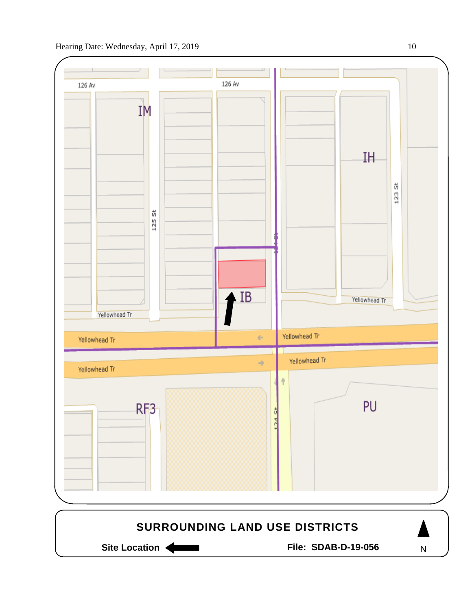

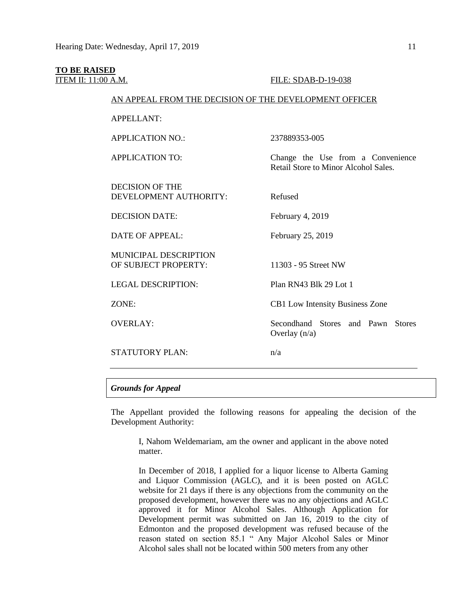# **TO BE RAISED**

**ITEM II: 11:00 A.M. FILE: SDAB-D-19-038** 

#### AN APPEAL FROM THE DECISION OF THE DEVELOPMENT OFFICER

APPELLANT:

APPLICATION NO.: 237889353-005

APPLICATION TO: Change the Use from a Convenience

DECISION OF THE DEVELOPMENT AUTHORITY: Refused

DECISION DATE: February 4, 2019

DATE OF APPEAL: February 25, 2019

MUNICIPAL DESCRIPTION OF SUBJECT PROPERTY: 11303 - 95 Street NW

LEGAL DESCRIPTION: Plan RN43 Blk 29 Lot 1

STATUTORY PLAN:  $n/a$ 

ZONE: CB1 Low Intensity Business Zone

Retail Store to Minor Alcohol Sales.

OVERLAY: Secondhand Stores and Pawn Stores Overlay (n/a)

#### *Grounds for Appeal*

The Appellant provided the following reasons for appealing the decision of the Development Authority:

I, Nahom Weldemariam, am the owner and applicant in the above noted matter.

In December of 2018, I applied for a liquor license to Alberta Gaming and Liquor Commission (AGLC), and it is been posted on AGLC website for 21 days if there is any objections from the community on the proposed development, however there was no any objections and AGLC approved it for Minor Alcohol Sales. Although Application for Development permit was submitted on Jan 16, 2019 to the city of Edmonton and the proposed development was refused because of the reason stated on section 85.1 " Any Major Alcohol Sales or Minor Alcohol sales shall not be located within 500 meters from any other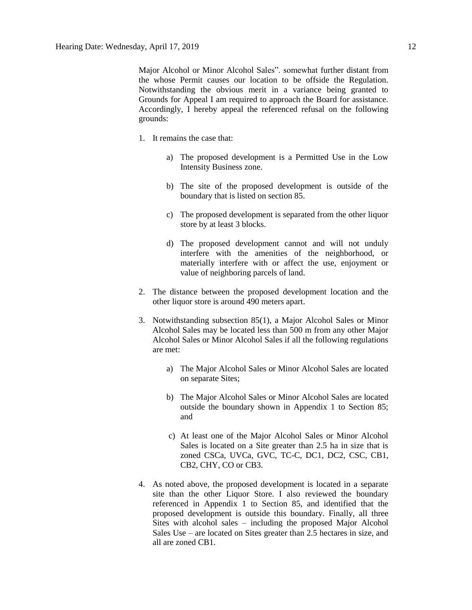Major Alcohol or Minor Alcohol Sales". somewhat further distant from the whose Permit causes our location to be offside the Regulation. Notwithstanding the obvious merit in a variance being granted to Grounds for Appeal I am required to approach the Board for assistance. Accordingly, I hereby appeal the referenced refusal on the following grounds:

- 1. It remains the case that:
	- a) The proposed development is a Permitted Use in the Low Intensity Business zone.
	- b) The site of the proposed development is outside of the boundary that is listed on section 85.
	- c) The proposed development is separated from the other liquor store by at least 3 blocks.
	- d) The proposed development cannot and will not unduly interfere with the amenities of the neighborhood, or materially interfere with or affect the use, enjoyment or value of neighboring parcels of land.
- 2. The distance between the proposed development location and the other liquor store is around 490 meters apart.
- 3. Notwithstanding subsection 85(1), a Major Alcohol Sales or Minor Alcohol Sales may be located less than 500 m from any other Major Alcohol Sales or Minor Alcohol Sales if all the following regulations are met:
	- a) The Major Alcohol Sales or Minor Alcohol Sales are located on separate Sites;
	- b) The Major Alcohol Sales or Minor Alcohol Sales are located outside the boundary shown in Appendix 1 to Section 85; and
	- c) At least one of the Major Alcohol Sales or Minor Alcohol Sales is located on a Site greater than 2.5 ha in size that is zoned CSCa, UVCa, GVC, TC-C, DC1, DC2, CSC, CB1, CB2, CHY, CO or CB3.
- 4. As noted above, the proposed development is located in a separate site than the other Liquor Store. I also reviewed the boundary referenced in Appendix 1 to Section 85, and identified that the proposed development is outside this boundary. Finally, all three Sites with alcohol sales – including the proposed Major Alcohol Sales Use – are located on Sites greater than 2.5 hectares in size, and all are zoned CB1.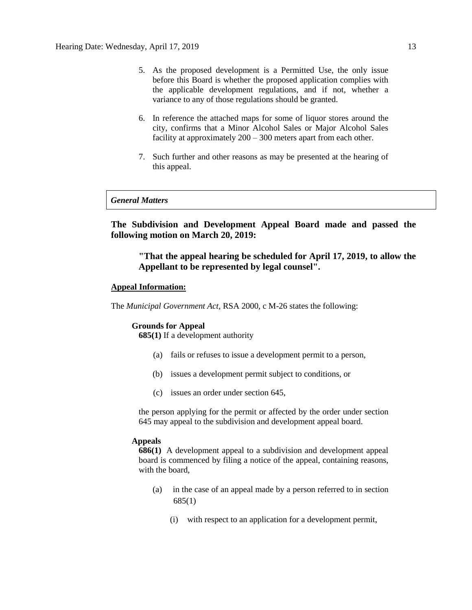- 5. As the proposed development is a Permitted Use, the only issue before this Board is whether the proposed application complies with the applicable development regulations, and if not, whether a variance to any of those regulations should be granted.
- 6. In reference the attached maps for some of liquor stores around the city, confirms that a Minor Alcohol Sales or Major Alcohol Sales facility at approximately  $200 - 300$  meters apart from each other.
- 7. Such further and other reasons as may be presented at the hearing of this appeal.

#### *General Matters*

**The Subdivision and Development Appeal Board made and passed the following motion on March 20, 2019:** 

**"That the appeal hearing be scheduled for April 17, 2019, to allow the Appellant to be represented by legal counsel".**

#### **Appeal Information:**

The *Municipal Government Act*, RSA 2000, c M-26 states the following:

#### **Grounds for Appeal**

**685(1)** If a development authority

- (a) fails or refuses to issue a development permit to a person,
- (b) issues a development permit subject to conditions, or
- (c) issues an order under section 645,

the person applying for the permit or affected by the order under section 645 may appeal to the subdivision and development appeal board.

#### **Appeals**

**686(1)** A development appeal to a subdivision and development appeal board is commenced by filing a notice of the appeal, containing reasons, with the board,

- (a) in the case of an appeal made by a person referred to in section 685(1)
	- (i) with respect to an application for a development permit,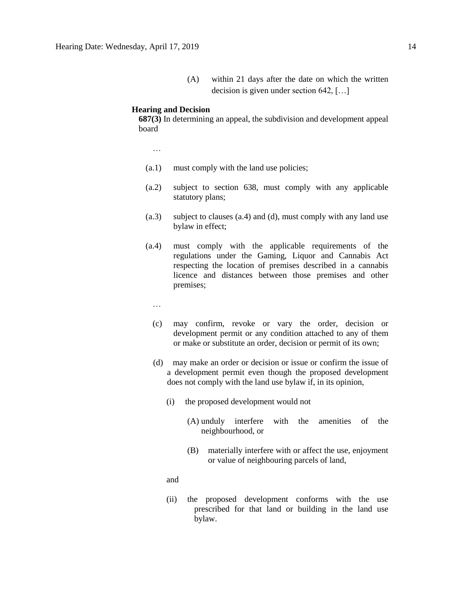(A) within 21 days after the date on which the written decision is given under section 642, […]

#### **Hearing and Decision**

**687(3)** In determining an appeal, the subdivision and development appeal board

…

- (a.1) must comply with the land use policies;
- (a.2) subject to section 638, must comply with any applicable statutory plans;
- (a.3) subject to clauses (a.4) and (d), must comply with any land use bylaw in effect;
- (a.4) must comply with the applicable requirements of the regulations under the Gaming, Liquor and Cannabis Act respecting the location of premises described in a cannabis licence and distances between those premises and other premises;
	- …
	- (c) may confirm, revoke or vary the order, decision or development permit or any condition attached to any of them or make or substitute an order, decision or permit of its own;
	- (d) may make an order or decision or issue or confirm the issue of a development permit even though the proposed development does not comply with the land use bylaw if, in its opinion,
		- (i) the proposed development would not
			- (A) unduly interfere with the amenities of the neighbourhood, or
			- (B) materially interfere with or affect the use, enjoyment or value of neighbouring parcels of land,

and

(ii) the proposed development conforms with the use prescribed for that land or building in the land use bylaw.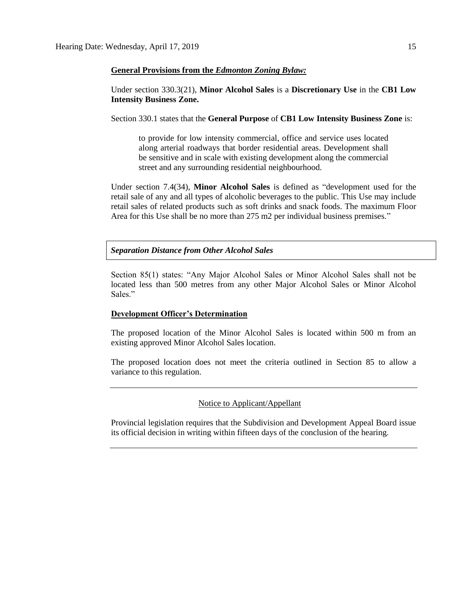#### **General Provisions from the** *Edmonton Zoning Bylaw:*

Under section 330.3(21), **Minor Alcohol Sales** is a **Discretionary Use** in the **CB1 Low Intensity Business Zone.**

Section 330.1 states that the **General Purpose** of **CB1 Low Intensity Business Zone** is:

to provide for low intensity commercial, office and service uses located along arterial roadways that border residential areas. Development shall be sensitive and in scale with existing development along the commercial street and any surrounding residential neighbourhood.

Under section 7.4(34), **Minor Alcohol Sales** is defined as "development used for the retail sale of any and all types of alcoholic beverages to the public. This Use may include retail sales of related products such as soft drinks and snack foods. The maximum Floor Area for this Use shall be no more than 275 m2 per individual business premises."

*Separation Distance from Other Alcohol Sales*

Section 85(1) states: "Any Major Alcohol Sales or Minor Alcohol Sales shall not be located less than 500 metres from any other Major Alcohol Sales or Minor Alcohol Sales."

#### **Development Officer's Determination**

The proposed location of the Minor Alcohol Sales is located within 500 m from an existing approved Minor Alcohol Sales location.

The proposed location does not meet the criteria outlined in Section 85 to allow a variance to this regulation.

#### Notice to Applicant/Appellant

Provincial legislation requires that the Subdivision and Development Appeal Board issue its official decision in writing within fifteen days of the conclusion of the hearing.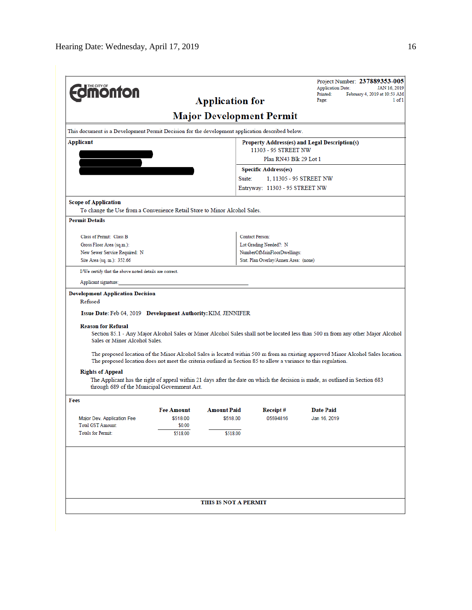| <b><i><u><u><b>M</b>onton</u></u></i></b>                                                                                                                                                                                                                                                            |                    | <b>Application for</b>          |                                       | Project Number: 237889353-005<br><b>Application Date:</b><br>February 4, 2019 at 10:53 AM<br>Printed:<br>Page:                                                                                                                                                      | JAN 16, 2019<br>$1$ of $1$ |
|------------------------------------------------------------------------------------------------------------------------------------------------------------------------------------------------------------------------------------------------------------------------------------------------------|--------------------|---------------------------------|---------------------------------------|---------------------------------------------------------------------------------------------------------------------------------------------------------------------------------------------------------------------------------------------------------------------|----------------------------|
|                                                                                                                                                                                                                                                                                                      |                    | <b>Major Development Permit</b> |                                       |                                                                                                                                                                                                                                                                     |                            |
| This document is a Development Permit Decision for the development application described below.                                                                                                                                                                                                      |                    |                                 |                                       |                                                                                                                                                                                                                                                                     |                            |
| Applicant                                                                                                                                                                                                                                                                                            |                    |                                 |                                       | Property Address(es) and Legal Description(s)                                                                                                                                                                                                                       |                            |
|                                                                                                                                                                                                                                                                                                      |                    |                                 | 11303 - 95 STREET NW                  |                                                                                                                                                                                                                                                                     |                            |
|                                                                                                                                                                                                                                                                                                      |                    |                                 | Plan RN43 Blk 29 Lot 1                |                                                                                                                                                                                                                                                                     |                            |
|                                                                                                                                                                                                                                                                                                      |                    |                                 | <b>Specific Address(es)</b>           |                                                                                                                                                                                                                                                                     |                            |
|                                                                                                                                                                                                                                                                                                      |                    | Suite:                          | 1, 11305 - 95 STREET NW               |                                                                                                                                                                                                                                                                     |                            |
|                                                                                                                                                                                                                                                                                                      |                    |                                 | Entryway: 11303 - 95 STREET NW        |                                                                                                                                                                                                                                                                     |                            |
| <b>Scope of Application</b>                                                                                                                                                                                                                                                                          |                    |                                 |                                       |                                                                                                                                                                                                                                                                     |                            |
| To change the Use from a Convenience Retail Store to Minor Alcohol Sales.                                                                                                                                                                                                                            |                    |                                 |                                       |                                                                                                                                                                                                                                                                     |                            |
| <b>Permit Details</b>                                                                                                                                                                                                                                                                                |                    |                                 |                                       |                                                                                                                                                                                                                                                                     |                            |
| Class of Permit: Class B                                                                                                                                                                                                                                                                             |                    |                                 | <b>Contact Person:</b>                |                                                                                                                                                                                                                                                                     |                            |
| Gross Floor Area (sq.m.):                                                                                                                                                                                                                                                                            |                    |                                 | Lot Grading Needed?: N                |                                                                                                                                                                                                                                                                     |                            |
| New Sewer Service Required: N                                                                                                                                                                                                                                                                        |                    |                                 | NumberOfMainFloorDwellings:           |                                                                                                                                                                                                                                                                     |                            |
| Site Area (sq. m.): 352.66                                                                                                                                                                                                                                                                           |                    |                                 | Stat. Plan Overlay/Annex Area: (none) |                                                                                                                                                                                                                                                                     |                            |
| I/We certify that the above noted details are correct.                                                                                                                                                                                                                                               |                    |                                 |                                       |                                                                                                                                                                                                                                                                     |                            |
| Applicant signature:                                                                                                                                                                                                                                                                                 |                    |                                 |                                       |                                                                                                                                                                                                                                                                     |                            |
| <b>Development Application Decision</b><br>Refused<br>Issue Date: Feb 04, 2019 Development Authority: KIM, JENNIFER<br><b>Reason for Refusal</b><br>Sales or Minor Alcohol Sales.<br>The proposed location does not meet the criteria outlined in Section 85 to allow a variance to this regulation. |                    |                                 |                                       | Section 85.1 - Any Major Alcohol Sales or Minor Alcohol Sales shall not be located less than 500 m from any other Major Alcohol<br>The proposed location of the Minor Alcohol Sales is located within 500 m from an existing approved Minor Alcohol Sales location. |                            |
| <b>Rights of Appeal</b><br>through 689 of the Municipal Government Act.                                                                                                                                                                                                                              |                    |                                 |                                       | The Applicant has the right of appeal within 21 days after the date on which the decision is made, as outlined in Section 683                                                                                                                                       |                            |
| Fees                                                                                                                                                                                                                                                                                                 |                    |                                 |                                       |                                                                                                                                                                                                                                                                     |                            |
|                                                                                                                                                                                                                                                                                                      | <b>Fee Amount</b>  | <b>Amount Paid</b>              | Receipt#                              | <b>Date Paid</b>                                                                                                                                                                                                                                                    |                            |
| Major Dev. Application Fee                                                                                                                                                                                                                                                                           | \$518.00<br>\$0.00 | \$518.00                        | 05594816                              | Jan 16, 2019                                                                                                                                                                                                                                                        |                            |
| <b>Total GST Amount:</b><br><b>Totals for Permit:</b>                                                                                                                                                                                                                                                | \$518.00           | \$518.00                        |                                       |                                                                                                                                                                                                                                                                     |                            |
|                                                                                                                                                                                                                                                                                                      |                    |                                 |                                       |                                                                                                                                                                                                                                                                     |                            |
|                                                                                                                                                                                                                                                                                                      |                    | THIS IS NOT A PERMIT            |                                       |                                                                                                                                                                                                                                                                     |                            |